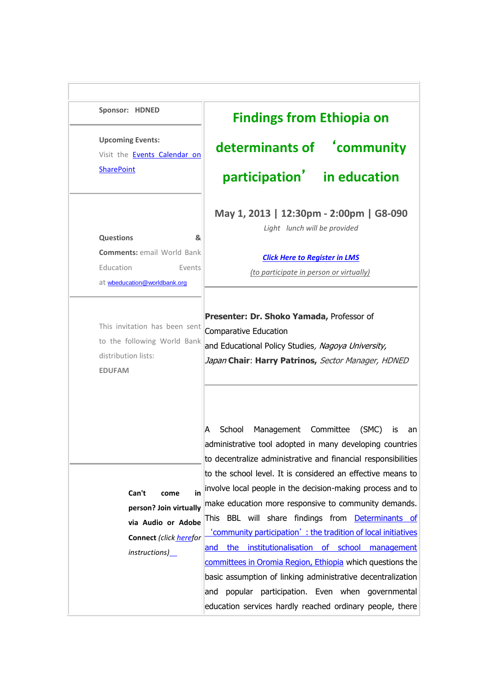| Sponsor: HDNED<br><b>Upcoming Events:</b><br>Visit the Events Calendar on<br><b>SharePoint</b>                    | <b>Findings from Ethiopia on</b><br>participation' in education                                                                                                                                                                                                                                                                                                                                                                                                                                                                                                                                                                                                                                                                                                                                               |
|-------------------------------------------------------------------------------------------------------------------|---------------------------------------------------------------------------------------------------------------------------------------------------------------------------------------------------------------------------------------------------------------------------------------------------------------------------------------------------------------------------------------------------------------------------------------------------------------------------------------------------------------------------------------------------------------------------------------------------------------------------------------------------------------------------------------------------------------------------------------------------------------------------------------------------------------|
| <b>Questions</b><br>&<br><b>Comments: email World Bank</b><br>Education<br>Events<br>at wbeducation@worldbank.org | May 1, 2013   12:30pm - 2:00pm   G8-090<br>Light lunch will be provided<br><b>Click Here to Register in LMS</b><br>(to participate in person or virtually)                                                                                                                                                                                                                                                                                                                                                                                                                                                                                                                                                                                                                                                    |
| This invitation has been sent<br>to the following World Bank<br>distribution lists:<br><b>EDUFAM</b>              | Presenter: Dr. Shoko Yamada, Professor of<br>Comparative Education<br>and Educational Policy Studies, Nagoya University,<br>Japan Chair: Harry Patrinos, Sector Manager, HDNED                                                                                                                                                                                                                                                                                                                                                                                                                                                                                                                                                                                                                                |
| in<br>Can't<br>come<br>person? Join virtually<br>via Audio or Adobe<br>Connect (click herefor<br>instructions)_   | School Management Committee (SMC)<br>A<br>IS<br>an<br>administrative tool adopted in many developing countries<br>to decentralize administrative and financial responsibilities<br>to the school level. It is considered an effective means to<br>involve local people in the decision-making process and to<br>make education more responsive to community demands.<br>This BBL will share findings from <b>Determinants of</b><br>'community participation': the tradition of local initiatives<br>the institutionalisation of school<br>management<br>and<br>committees in Oromia Region, Ethiopia which questions the<br>basic assumption of linking administrative decentralization<br>popular participation. Even when governmental<br>and.<br>education services hardly reached ordinary people, there |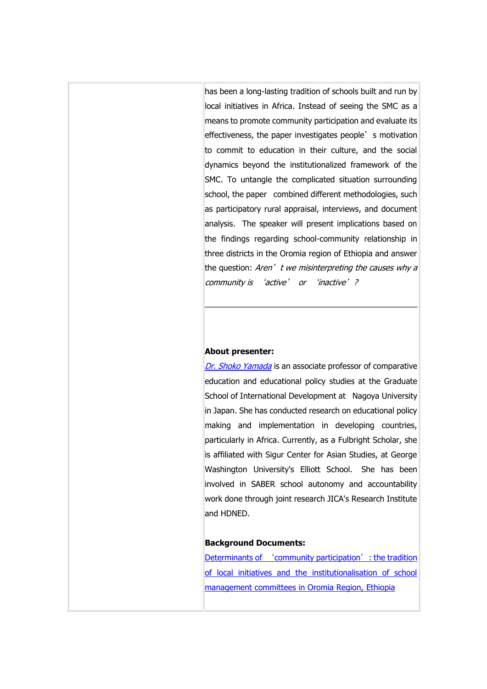has been a long-lasting tradition of schools built and run by local initiatives in Africa. Instead of seeing the SMC as a means to promote community participation and evaluate its effectiveness, the paper investigates people's motivation to commit to education in their culture, and the social dynamics beyond the institutionalized framework of the SMC. To untangle the complicated situation surrounding school, the paper combined different methodologies, such as participatory rural appraisal, interviews, and document analysis. The speaker will present implications based on the findings regarding school-community relationship in three districts in the Oromia region of Ethiopia and answer the question: Aren't we misinterpreting the causes why a community is 'active' or 'inactive'?

## **About presenter:**

[Dr. Shoko Yamada](http://www.gsid.nagoya-u.ac.jp/syamada/index.html)</u> is an associate professor of comparative education and educational policy studies at the Graduate School of International Development at Nagoya University in Japan. She has conducted research on educational policy making and implementation in developing countries, particularly in Africa. Currently, as a Fulbright Scholar, she is affiliated with Sigur Center for Asian Studies, at George Washington University's Elliott School. She has been involved in SABER school autonomy and accountability work done through joint research JICA's Research Institute and HDNED.

## **Background Documents:**

Determinants of '[community participation](http://www.tandfonline.com/doi/pdf/10.1080/03057925.2012.746899)': the tradition [of local initiatives and the institutionalisation of school](http://www.tandfonline.com/doi/pdf/10.1080/03057925.2012.746899)  [management committees in Oromia Region,](http://www.tandfonline.com/doi/pdf/10.1080/03057925.2012.746899) Ethiopia